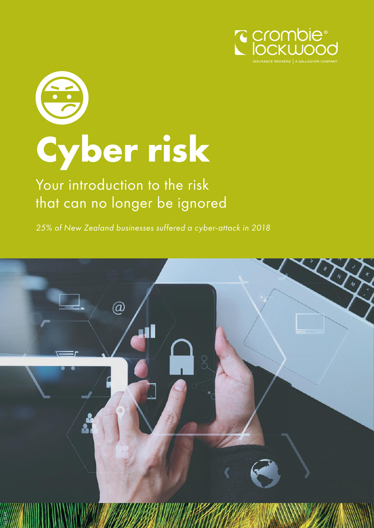

# **Cyber risk**

# Your introduction to the risk that can no longer be ignored

25% of New Zealand businesses suffered a cyber-attack in 2018

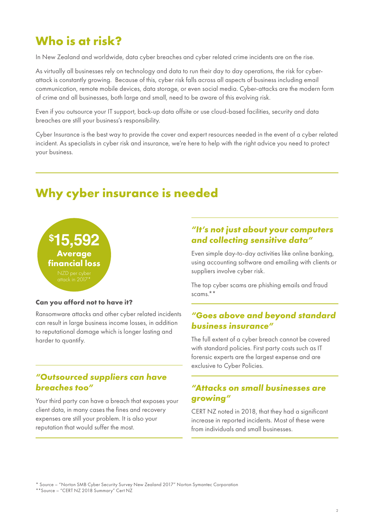## **Who is at risk?**

In New Zealand and worldwide, data cyber breaches and cyber related crime incidents are on the rise.

As virtually all businesses rely on technology and data to run their day to day operations, the risk for cyberattack is constantly growing. Because of this, cyber risk falls across all aspects of business including email communication, remote mobile devices, data storage, or even social media. Cyber-attacks are the modern form of crime and all businesses, both large and small, need to be aware of this evolving risk.

Even if you outsource your IT support, back-up data offsite or use cloud-based facilities, security and data breaches are still your business's responsibility.

Cyber Insurance is the best way to provide the cover and expert resources needed in the event of a cyber related incident. As specialists in cyber risk and insurance, we're here to help with the right advice you need to protect your business.

## **Why cyber insurance is needed**



#### **Can you afford not to have it?**

Ransomware attacks and other cyber related incidents can result in large business income losses, in addition to reputational damage which is longer lasting and harder to quantify.

## **"Outsourced suppliers can have breaches too"**

Your third party can have a breach that exposes your client data, in many cases the fines and recovery expenses are still your problem. It is also your reputation that would suffer the most.

### **"It's not just about your computers and collecting sensitive data"**

Even simple day-to-day activities like online banking, using accounting software and emailing with clients or suppliers involve cyber risk.

The top cyber scams are phishing emails and fraud scams.\*\*

## **"Goes above and beyond standard business insurance"**

The full extent of a cyber breach cannot be covered with standard policies. First party costs such as IT forensic experts are the largest expense and are exclusive to Cyber Policies.

## **"Attacks on small businesses are growing"**

CERT NZ noted in 2018, that they had a significant increase in reported incidents. Most of these were from individuals and small businesses.

\* Source – "Norton SMB Cyber Security Survey New Zealand 2017" Norton Symantec Corporation

<sup>\*\*</sup>Source – "CERT NZ 2018 Summary" Cert NZ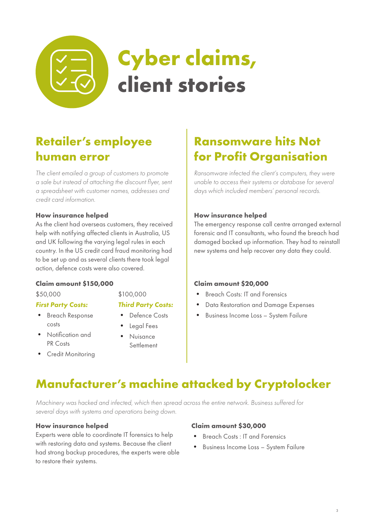

# **Retailer's employee human error**

The client emailed a group of customers to promote a sale but instead of attaching the discount flyer, sent a spreadsheet with customer names, addresses and credit card information.

#### **How insurance helped**

As the client had overseas customers, they received help with notifying affected clients in Australia, US and UK following the varying legal rules in each country. In the US credit card fraud monitoring had to be set up and as several clients there took legal action, defence costs were also covered.

#### **Claim amount \$150,000**

\$50,000

costs

#### \$100,000 Third Party Costs:

#### **First Party Costs:**

- Breach Response Defence Costs
	- Legal Fees
- Notification and PR Costs
- **Credit Monitoring**
- Nuisance Settlement

## **Ransomware hits Not for Profit Organisation**

Ransomware infected the client's computers, they were unable to access their systems or database for several days which included members' personal records.

#### **How insurance helped**

The emergency response call centre arranged external forensic and IT consultants, who found the breach had damaged backed up information. They had to reinstall new systems and help recover any data they could.

#### **Claim amount \$20,000**

- Breach Costs: IT and Forensics
- Data Restoration and Damage Expenses
- Business Income Loss System Failure

**Manufacturer's machine attacked by Cryptolocker** 

Machinery was hacked and infected, which then spread across the entire network. Business suffered for several days with systems and operations being down.

#### **How insurance helped**

Experts were able to coordinate IT forensics to help with restoring data and systems. Because the client had strong backup procedures, the experts were able to restore their systems.

#### **Claim amount \$30,000**

- Breach Costs : IT and Forensics
- Business Income Loss System Failure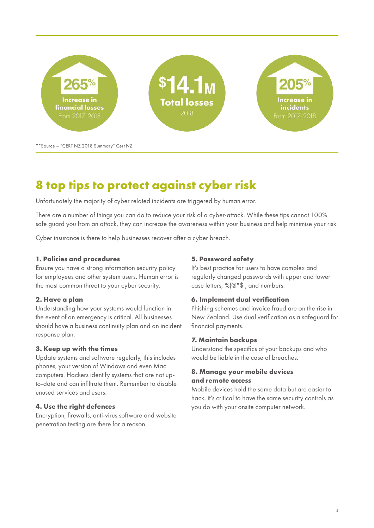

\*\*Source – "CERT NZ 2018 Summary" Cert NZ

# **8 top tips to protect against cyber risk**

Unfortunately the majority of cyber related incidents are triggered by human error.

There are a number of things you can do to reduce your risk of a cyber-attack. While these tips cannot 100% safe guard you from an attack, they can increase the awareness within your business and help minimise your risk.

Cyber insurance is there to help businesses recover after a cyber breach.

#### **1. Policies and procedures**

Ensure you have a strong information security policy for employees and other system users. Human error is the most common threat to your cyber security.

#### **2. Have a plan**

Understanding how your systems would function in the event of an emergency is critical. All businesses should have a business continuity plan and an incident response plan.

#### **3. Keep up with the times**

Update systems and software regularly, this includes phones, your version of Windows and even Mac computers. Hackers identify systems that are not upto-date and can infiltrate them. Remember to disable unused services and users.

#### **4. Use the right defences**

Encryption, firewalls, anti-virus software and website penetration testing are there for a reason.

#### **5. Password safety**

It's best practice for users to have complex and regularly changed passwords with upper and lower case letters, %(@\*\$ , and numbers.

#### **6. Implement dual verification**

Phishing schemes and invoice fraud are on the rise in New Zealand. Use dual verification as a safeguard for financial payments.

#### **7. Maintain backups**

Understand the specifics of your backups and who would be liable in the case of breaches.

#### **8. Manage your mobile devices and remote access**

Mobile devices hold the same data but are easier to hack, it's critical to have the same security controls as you do with your onsite computer network.